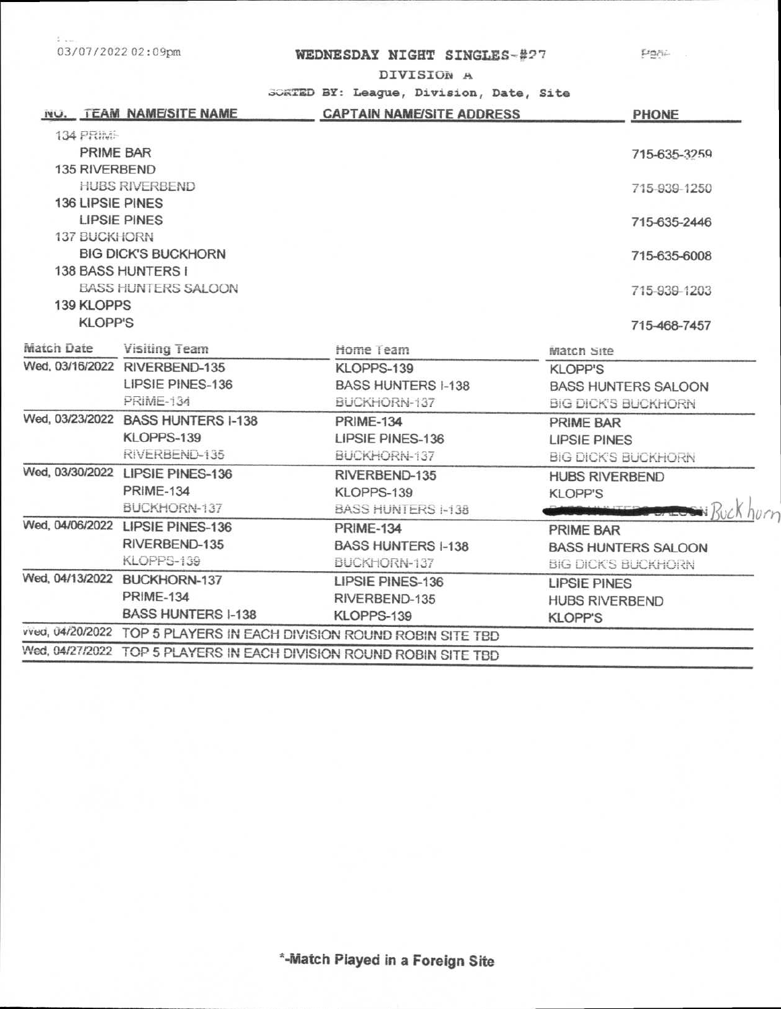法:。 03/07/2022 02:09pm

## WEDNESDAY NIGHT SINGLES-#27 Factor

DIVISION A

SORTED BY: League, Division, Date, Site

|                            | <b>INU.</b> TEAM NAME/SITE NAME                                      | <b>CAPTAIN NAME/SITE ADDRESS</b>                                    | <b>PHONE</b>               |  |
|----------------------------|----------------------------------------------------------------------|---------------------------------------------------------------------|----------------------------|--|
| <b>134 PRIME</b>           |                                                                      |                                                                     |                            |  |
| PRIME BAR                  |                                                                      |                                                                     | 715-635-3259               |  |
| 135 RIVERBEND              |                                                                      |                                                                     |                            |  |
|                            | <b>HUBS RIVERBEND</b>                                                |                                                                     | 715-939-1250               |  |
| <b>136 LIPSIE PINES</b>    |                                                                      |                                                                     |                            |  |
| <b>LIPSIE PINES</b>        |                                                                      |                                                                     | 715-635-2446               |  |
| <b>137 BUCKHORN</b>        |                                                                      |                                                                     |                            |  |
| <b>BIG DICK'S BUCKHORN</b> |                                                                      |                                                                     | 715-635-6008               |  |
|                            | 138 BASS HUNTERS I                                                   |                                                                     |                            |  |
|                            | <b>BASS HUNTERS SALOON</b>                                           |                                                                     | 715-939-1203               |  |
| <b>139 KLOPPS</b>          |                                                                      |                                                                     |                            |  |
| <b>KLOPP'S</b>             |                                                                      |                                                                     | 715-468-7457               |  |
| Match Date                 | Visiting Team                                                        | Home Team                                                           | <b>Match Site</b>          |  |
|                            | Wed, 03/16/2022 RIVERBEND-135                                        | KLOPPS-139                                                          | <b>KLOPP'S</b>             |  |
|                            | LIPSIE PINES-136                                                     | <b>BASS HUNTERS I-138</b>                                           | <b>BASS HUNTERS SALOON</b> |  |
|                            | <b>PRIME-134</b>                                                     | BUCKHORN-137                                                        | <b>BIG DICK'S BUCKHORN</b> |  |
|                            | Wed, 03/23/2022 BASS HUNTERS I-138                                   | <b>PRIME-134</b>                                                    | PRIME BAR                  |  |
|                            | KLOPPS-139                                                           | <b>LIPSIE PINES-136</b>                                             | <b>LIPSIE PINES</b>        |  |
|                            | RIVERBEND-135                                                        | BUCKHORN-137                                                        | <b>BIG DICK'S BUCKHORN</b> |  |
|                            | Wed, 03/30/2022 LIPSIE PINES-136                                     | RIVERBEND-135                                                       | <b>HUBS RIVERBEND</b>      |  |
|                            | <b>PRIME-134</b>                                                     | KLOPPS-139                                                          | <b>KLOPP'S</b>             |  |
|                            | BUCKHORN-137                                                         | <b>BASS HUNTERS I-138</b>                                           |                            |  |
|                            | Wed, 04/06/2022 LIPSIE PINES-136                                     | <b>PRIME-134</b>                                                    | PRIME BAR                  |  |
|                            | RIVERBEND-135                                                        | <b>BASS HUNTERS I-138</b>                                           | <b>BASS HUNTERS SALOON</b> |  |
|                            | KLOPPS-139                                                           | BUCKHORN-137                                                        | <b>BIG DICK'S BUCKHORN</b> |  |
|                            | Wed, 04/13/2022 BUCKHORN-137                                         | <b>LIPSIE PINES-136</b>                                             | <b>LIPSIE PINES</b>        |  |
|                            | <b>PRIME-134</b>                                                     | RIVERBEND-135                                                       | <b>HUBS RIVERBEND</b>      |  |
|                            | <b>BASS HUNTERS I-138</b>                                            | KLOPPS-139                                                          | <b>KLOPP'S</b>             |  |
|                            | vved, 04/20/2022 TOP 5 PLAYERS IN EACH DIVISION ROUND ROBIN SITE TBD |                                                                     |                            |  |
|                            |                                                                      | Wed, 04/27/2022 TOP 5 PLAYERS IN EACH DIVISION ROUND ROBIN SITE TBD |                            |  |
|                            |                                                                      |                                                                     |                            |  |